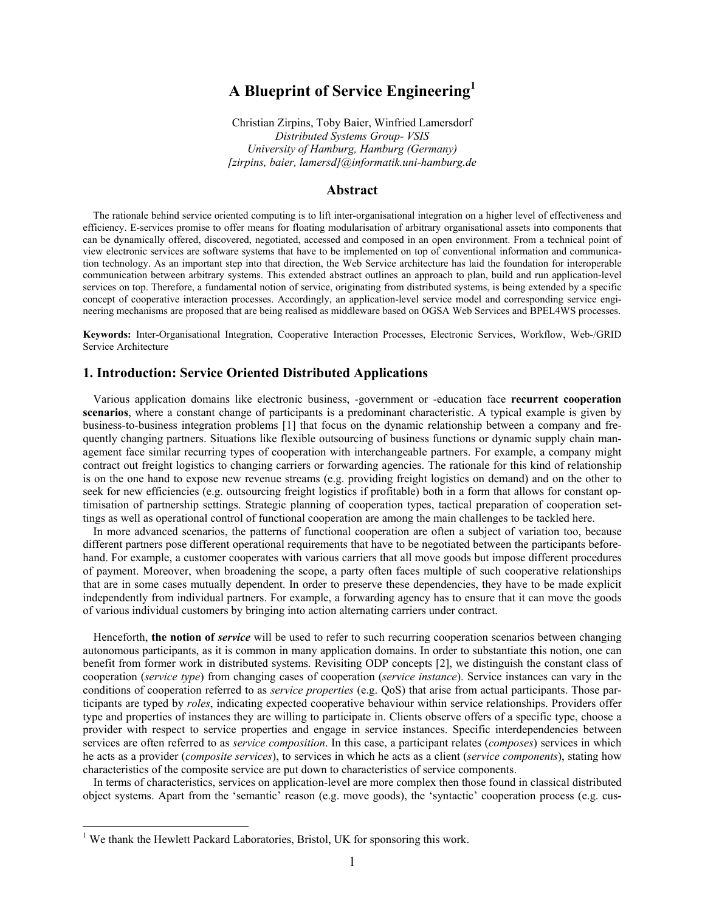# **A Blueprint of Service Engineering[1](#page-0-0)**

Christian Zirpins, Toby Baier, Winfried Lamersdorf *Distributed Systems Group- VSIS University of Hamburg, Hamburg (Germany) [zirpins, baier, lamersd]@informatik.uni-hamburg.de*

## **Abstract**

The rationale behind service oriented computing is to lift inter-organisational integration on a higher level of effectiveness and efficiency. E-services promise to offer means for floating modularisation of arbitrary organisational assets into components that can be dynamically offered, discovered, negotiated, accessed and composed in an open environment. From a technical point of view electronic services are software systems that have to be implemented on top of conventional information and communication technology. As an important step into that direction, the Web Service architecture has laid the foundation for interoperable communication between arbitrary systems. This extended abstract outlines an approach to plan, build and run application-level services on top. Therefore, a fundamental notion of service, originating from distributed systems, is being extended by a specific concept of cooperative interaction processes. Accordingly, an application-level service model and corresponding service engineering mechanisms are proposed that are being realised as middleware based on OGSA Web Services and BPEL4WS processes.

**Keywords:** Inter-Organisational Integration, Cooperative Interaction Processes, Electronic Services, Workflow, Web-/GRID Service Architecture

## **1. Introduction: Service Oriented Distributed Applications**

Various application domains like electronic business, -government or -education face **recurrent cooperation scenarios**, where a constant change of participants is a predominant characteristic. A typical example is given by business-to-business integration problems [1] that focus on the dynamic relationship between a company and frequently changing partners. Situations like flexible outsourcing of business functions or dynamic supply chain management face similar recurring types of cooperation with interchangeable partners. For example, a company might contract out freight logistics to changing carriers or forwarding agencies. The rationale for this kind of relationship is on the one hand to expose new revenue streams (e.g. providing freight logistics on demand) and on the other to seek for new efficiencies (e.g. outsourcing freight logistics if profitable) both in a form that allows for constant optimisation of partnership settings. Strategic planning of cooperation types, tactical preparation of cooperation settings as well as operational control of functional cooperation are among the main challenges to be tackled here.

In more advanced scenarios, the patterns of functional cooperation are often a subject of variation too, because different partners pose different operational requirements that have to be negotiated between the participants beforehand. For example, a customer cooperates with various carriers that all move goods but impose different procedures of payment. Moreover, when broadening the scope, a party often faces multiple of such cooperative relationships that are in some cases mutually dependent. In order to preserve these dependencies, they have to be made explicit independently from individual partners. For example, a forwarding agency has to ensure that it can move the goods of various individual customers by bringing into action alternating carriers under contract.

Henceforth, **the notion of** *service* will be used to refer to such recurring cooperation scenarios between changing autonomous participants, as it is common in many application domains. In order to substantiate this notion, one can benefit from former work in distributed systems. Revisiting ODP concepts [2], we distinguish the constant class of cooperation (*service type*) from changing cases of cooperation (*service instance*). Service instances can vary in the conditions of cooperation referred to as *service properties* (e.g. QoS) that arise from actual participants. Those participants are typed by *roles*, indicating expected cooperative behaviour within service relationships. Providers offer type and properties of instances they are willing to participate in. Clients observe offers of a specific type, choose a provider with respect to service properties and engage in service instances. Specific interdependencies between services are often referred to as *service composition*. In this case, a participant relates (*composes*) services in which he acts as a provider (*composite services*), to services in which he acts as a client (*service components*), stating how characteristics of the composite service are put down to characteristics of service components.

In terms of characteristics, services on application-level are more complex then those found in classical distributed object systems. Apart from the 'semantic' reason (e.g. move goods), the 'syntactic' cooperation process (e.g. cus-

 $\overline{a}$ 

<span id="page-0-0"></span> $<sup>1</sup>$  We thank the Hewlett Packard Laboratories, Bristol, UK for sponsoring this work.</sup>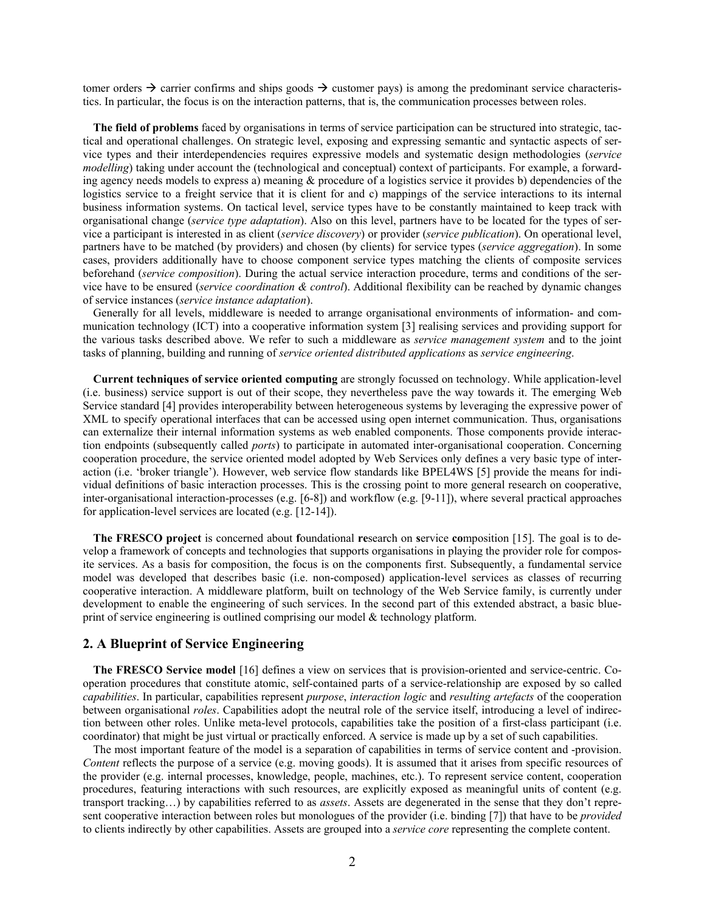tomer orders  $\rightarrow$  carrier confirms and ships goods  $\rightarrow$  customer pays) is among the predominant service characteristics. In particular, the focus is on the interaction patterns, that is, the communication processes between roles.

**The field of problems** faced by organisations in terms of service participation can be structured into strategic, tactical and operational challenges. On strategic level, exposing and expressing semantic and syntactic aspects of service types and their interdependencies requires expressive models and systematic design methodologies (*service modelling*) taking under account the (technological and conceptual) context of participants. For example, a forwarding agency needs models to express a) meaning & procedure of a logistics service it provides b) dependencies of the logistics service to a freight service that it is client for and c) mappings of the service interactions to its internal business information systems. On tactical level, service types have to be constantly maintained to keep track with organisational change (*service type adaptation*). Also on this level, partners have to be located for the types of service a participant is interested in as client (*service discovery*) or provider (*service publication*). On operational level, partners have to be matched (by providers) and chosen (by clients) for service types (*service aggregation*). In some cases, providers additionally have to choose component service types matching the clients of composite services beforehand (*service composition*). During the actual service interaction procedure, terms and conditions of the service have to be ensured (*service coordination & control*). Additional flexibility can be reached by dynamic changes of service instances (*service instance adaptation*).

Generally for all levels, middleware is needed to arrange organisational environments of information- and communication technology (ICT) into a cooperative information system [3] realising services and providing support for the various tasks described above. We refer to such a middleware as *service management system* and to the joint tasks of planning, building and running of *service oriented distributed applications* as *service engineering*.

**Current techniques of service oriented computing** are strongly focussed on technology. While application-level (i.e. business) service support is out of their scope, they nevertheless pave the way towards it. The emerging Web Service standard [4] provides interoperability between heterogeneous systems by leveraging the expressive power of XML to specify operational interfaces that can be accessed using open internet communication. Thus, organisations can externalize their internal information systems as web enabled components. Those components provide interaction endpoints (subsequently called *ports*) to participate in automated inter-organisational cooperation. Concerning cooperation procedure, the service oriented model adopted by Web Services only defines a very basic type of interaction (i.e. 'broker triangle'). However, web service flow standards like BPEL4WS [5] provide the means for individual definitions of basic interaction processes. This is the crossing point to more general research on cooperative, inter-organisational interaction-processes (e.g. [6-8]) and workflow (e.g. [9-11]), where several practical approaches for application-level services are located (e.g. [12-14]).

**The FRESCO project** is concerned about **f**oundational **re**search on **s**ervice **co**mposition [15]. The goal is to develop a framework of concepts and technologies that supports organisations in playing the provider role for composite services. As a basis for composition, the focus is on the components first. Subsequently, a fundamental service model was developed that describes basic (i.e. non-composed) application-level services as classes of recurring cooperative interaction. A middleware platform, built on technology of the Web Service family, is currently under development to enable the engineering of such services. In the second part of this extended abstract, a basic blueprint of service engineering is outlined comprising our model & technology platform.

## **2. A Blueprint of Service Engineering**

**The FRESCO Service model** [16] defines a view on services that is provision-oriented and service-centric. Cooperation procedures that constitute atomic, self-contained parts of a service-relationship are exposed by so called *capabilities*. In particular, capabilities represent *purpose*, *interaction logic* and *resulting artefacts* of the cooperation between organisational *roles*. Capabilities adopt the neutral role of the service itself, introducing a level of indirection between other roles. Unlike meta-level protocols, capabilities take the position of a first-class participant (i.e. coordinator) that might be just virtual or practically enforced. A service is made up by a set of such capabilities.

The most important feature of the model is a separation of capabilities in terms of service content and -provision. *Content* reflects the purpose of a service (e.g. moving goods). It is assumed that it arises from specific resources of the provider (e.g. internal processes, knowledge, people, machines, etc.). To represent service content, cooperation procedures, featuring interactions with such resources, are explicitly exposed as meaningful units of content (e.g. transport tracking…) by capabilities referred to as *assets*. Assets are degenerated in the sense that they don't represent cooperative interaction between roles but monologues of the provider (i.e. binding [7]) that have to be *provided* to clients indirectly by other capabilities. Assets are grouped into a *service core* representing the complete content.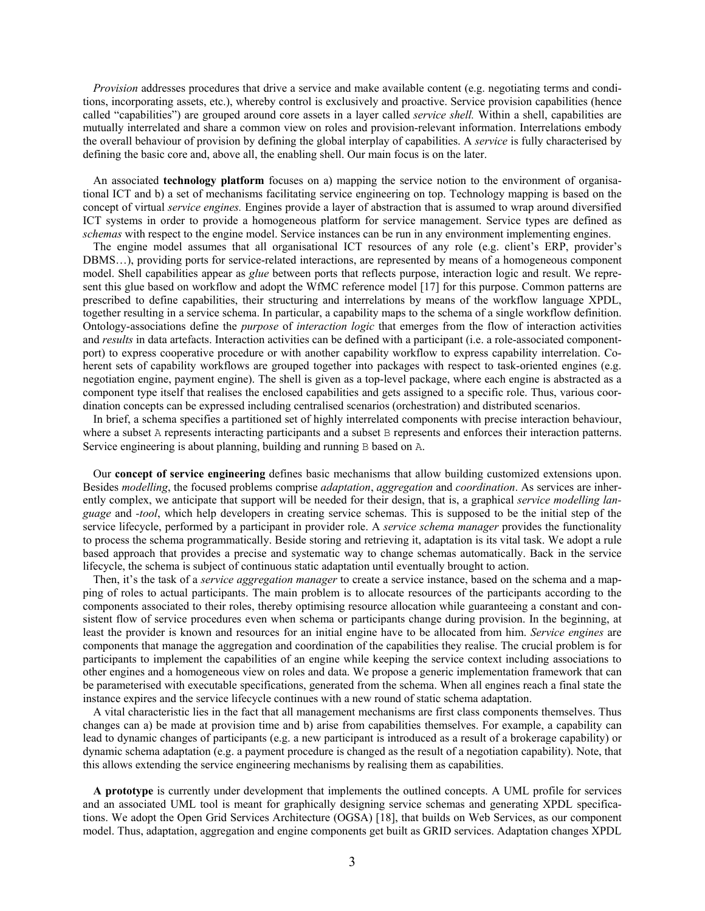*Provision* addresses procedures that drive a service and make available content (e.g. negotiating terms and conditions, incorporating assets, etc.), whereby control is exclusively and proactive. Service provision capabilities (hence called "capabilities") are grouped around core assets in a layer called *service shell.* Within a shell, capabilities are mutually interrelated and share a common view on roles and provision-relevant information. Interrelations embody the overall behaviour of provision by defining the global interplay of capabilities. A *service* is fully characterised by defining the basic core and, above all, the enabling shell. Our main focus is on the later.

An associated **technology platform** focuses on a) mapping the service notion to the environment of organisational ICT and b) a set of mechanisms facilitating service engineering on top. Technology mapping is based on the concept of virtual *service engines.* Engines provide a layer of abstraction that is assumed to wrap around diversified ICT systems in order to provide a homogeneous platform for service management. Service types are defined as *schemas* with respect to the engine model. Service instances can be run in any environment implementing engines.

The engine model assumes that all organisational ICT resources of any role (e.g. client's ERP, provider's DBMS…), providing ports for service-related interactions, are represented by means of a homogeneous component model. Shell capabilities appear as *glue* between ports that reflects purpose, interaction logic and result. We represent this glue based on workflow and adopt the WfMC reference model [17] for this purpose. Common patterns are prescribed to define capabilities, their structuring and interrelations by means of the workflow language XPDL, together resulting in a service schema. In particular, a capability maps to the schema of a single workflow definition. Ontology-associations define the *purpose* of *interaction logic* that emerges from the flow of interaction activities and *results* in data artefacts. Interaction activities can be defined with a participant (i.e. a role-associated componentport) to express cooperative procedure or with another capability workflow to express capability interrelation. Coherent sets of capability workflows are grouped together into packages with respect to task-oriented engines (e.g. negotiation engine, payment engine). The shell is given as a top-level package, where each engine is abstracted as a component type itself that realises the enclosed capabilities and gets assigned to a specific role. Thus, various coordination concepts can be expressed including centralised scenarios (orchestration) and distributed scenarios.

In brief, a schema specifies a partitioned set of highly interrelated components with precise interaction behaviour, where a subset A represents interacting participants and a subset B represents and enforces their interaction patterns. Service engineering is about planning, building and running B based on A.

Our **concept of service engineering** defines basic mechanisms that allow building customized extensions upon. Besides *modelling*, the focused problems comprise *adaptation*, *aggregation* and *coordination*. As services are inherently complex, we anticipate that support will be needed for their design, that is, a graphical *service modelling language* and *-tool*, which help developers in creating service schemas. This is supposed to be the initial step of the service lifecycle, performed by a participant in provider role. A *service schema manager* provides the functionality to process the schema programmatically. Beside storing and retrieving it, adaptation is its vital task. We adopt a rule based approach that provides a precise and systematic way to change schemas automatically. Back in the service lifecycle, the schema is subject of continuous static adaptation until eventually brought to action.

Then, it's the task of a *service aggregation manager* to create a service instance, based on the schema and a mapping of roles to actual participants. The main problem is to allocate resources of the participants according to the components associated to their roles, thereby optimising resource allocation while guaranteeing a constant and consistent flow of service procedures even when schema or participants change during provision. In the beginning, at least the provider is known and resources for an initial engine have to be allocated from him. *Service engines* are components that manage the aggregation and coordination of the capabilities they realise. The crucial problem is for participants to implement the capabilities of an engine while keeping the service context including associations to other engines and a homogeneous view on roles and data. We propose a generic implementation framework that can be parameterised with executable specifications, generated from the schema. When all engines reach a final state the instance expires and the service lifecycle continues with a new round of static schema adaptation.

A vital characteristic lies in the fact that all management mechanisms are first class components themselves. Thus changes can a) be made at provision time and b) arise from capabilities themselves. For example, a capability can lead to dynamic changes of participants (e.g. a new participant is introduced as a result of a brokerage capability) or dynamic schema adaptation (e.g. a payment procedure is changed as the result of a negotiation capability). Note, that this allows extending the service engineering mechanisms by realising them as capabilities.

**A prototype** is currently under development that implements the outlined concepts. A UML profile for services and an associated UML tool is meant for graphically designing service schemas and generating XPDL specifications. We adopt the Open Grid Services Architecture (OGSA) [18], that builds on Web Services, as our component model. Thus, adaptation, aggregation and engine components get built as GRID services. Adaptation changes XPDL